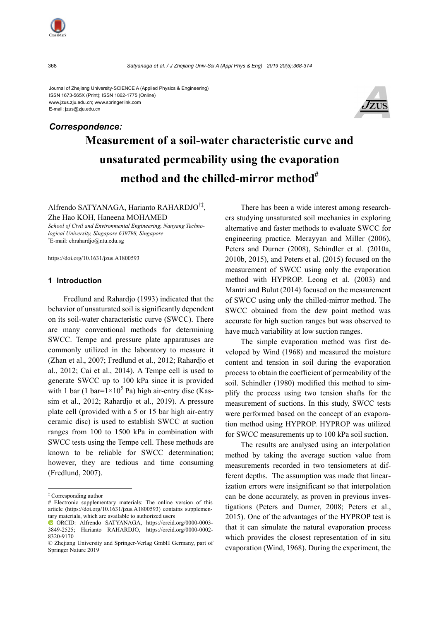## Journal of Zhejiang University-SCIENCE A (Applied Physics & Engineering) ISSN 1673-565X (Print); ISSN 1862-1775 (Online) www.jzus.zju.edu.cn; www.springerlink.com



# **Measurement of a soil-water characteristic curve and unsaturated permeability using the evaporation**  method and the chilled-mirror method<sup>#</sup> *Correspondence:*

Alfrendo SATYANAGA, Harianto RAHARDJO†‡, Zhe Hao KOH, Haneena MOHAMED

*School of Civil and Environmental Engineering, Nanyang Technological University, Singapore 639798, Singapore* † E-mail: chrahardjo@ntu.edu.sg

https://doi.org/10.1631/jzus.A1800593

## **1 Introduction**

Fredlund and Rahardjo (1993) indicated that the behavior of unsaturated soil is significantly dependent on its soil-water characteristic curve (SWCC). There are many conventional methods for determining SWCC. Tempe and pressure plate apparatuses are commonly utilized in the laboratory to measure it (Zhan et al., 2007; Fredlund et al., 2012; Rahardjo et al., 2012; Cai et al., 2014). A Tempe cell is used to generate SWCC up to 100 kPa since it is provided with 1 bar (1 bar= $1 \times 10^5$  Pa) high air-entry disc (Kassim et al., 2012; Rahardjo et al., 2019). A pressure plate cell (provided with a 5 or 15 bar high air-entry ceramic disc) is used to establish SWCC at suction ranges from 100 to 1500 kPa in combination with SWCC tests using the Tempe cell. These methods are known to be reliable for SWCC determination; however, they are tedious and time consuming (Fredlund, 2007).

There has been a wide interest among researchers studying unsaturated soil mechanics in exploring alternative and faster methods to evaluate SWCC for engineering practice. Merayyan and Miller (2006), Peters and Durner (2008), Schindler et al. (2010a, 2010b, 2015), and Peters et al. (2015) focused on the measurement of SWCC using only the evaporation method with HYPROP. Leong et al. (2003) and Mantri and Bulut (2014) focused on the measurement of SWCC using only the chilled-mirror method. The SWCC obtained from the dew point method was accurate for high suction ranges but was observed to have much variability at low suction ranges.

The simple evaporation method was first developed by Wind (1968) and measured the moisture content and tension in soil during the evaporation process to obtain the coefficient of permeability of the soil. Schindler (1980) modified this method to simplify the process using two tension shafts for the measurement of suctions. In this study, SWCC tests were performed based on the concept of an evaporation method using HYPROP. HYPROP was utilized for SWCC measurements up to 100 kPa soil suction.

The results are analysed using an interpolation method by taking the average suction value from measurements recorded in two tensiometers at different depths. The assumption was made that linearization errors were insignificant so that interpolation can be done accurately, as proven in previous investigations (Peters and Durner, 2008; Peters et al., 2015). One of the advantages of the HYPROP test is that it can simulate the natural evaporation process which provides the closest representation of in situ evaporation (Wind, 1968). During the experiment, the



E-mail: jzus@zju.edu.cn

<sup>‡</sup> Corresponding author

<sup>#</sup> Electronic supplementary materials: The online version of this article (https://doi.org/10.1631/jzus.A1800593) contains supplementary materials, which are available to authorized users

ORCID: Alfrendo SATYANAGA, https://orcid.org/0000-0003- 3849-2525; Harianto RAHARDJO, https://orcid.org/0000-0002- 8320-9170

<sup>©</sup> Zhejiang University and Springer-Verlag GmbH Germany, part of Springer Nature 2019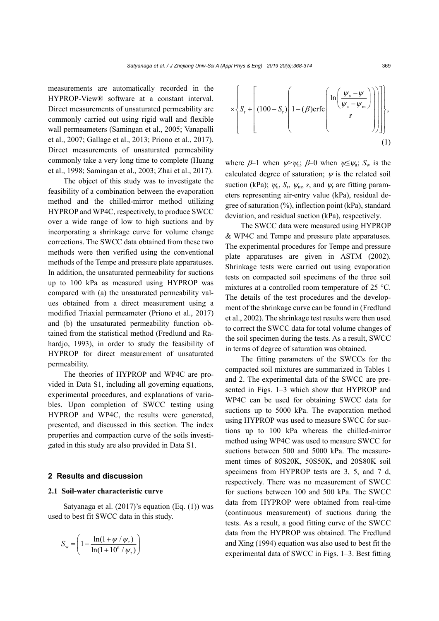measurements are automatically recorded in the HYPROP-View® software at a constant interval. Direct measurements of unsaturated permeability are commonly carried out using rigid wall and flexible wall permeameters (Samingan et al., 2005; Vanapalli et al., 2007; Gallage et al., 2013; Priono et al., 2017). Direct measurements of unsaturated permeability commonly take a very long time to complete (Huang et al., 1998; Samingan et al., 2003; Zhai et al., 2017).

The object of this study was to investigate the feasibility of a combination between the evaporation method and the chilled-mirror method utilizing HYPROP and WP4C, respectively, to produce SWCC over a wide range of low to high suctions and by incorporating a shrinkage curve for volume change corrections. The SWCC data obtained from these two methods were then verified using the conventional methods of the Tempe and pressure plate apparatuses. In addition, the unsaturated permeability for suctions up to 100 kPa as measured using HYPROP was compared with (a) the unsaturated permeability values obtained from a direct measurement using a modified Triaxial permeameter (Priono et al., 2017) and (b) the unsaturated permeability function obtained from the statistical method (Fredlund and Rahardjo, 1993), in order to study the feasibility of HYPROP for direct measurement of unsaturated permeability.

The theories of HYPROP and WP4C are provided in Data S1, including all governing equations, experimental procedures, and explanations of variables. Upon completion of SWCC testing using HYPROP and WP4C, the results were generated, presented, and discussed in this section. The index properties and compaction curve of the soils investigated in this study are also provided in Data S1.

### **2 Results and discussion**

### **2.1 Soil-water characteristic curve**

Satyanaga et al. (2017)'s equation (Eq. (1)) was used to best fit SWCC data in this study.

$$
S_{\rm w} = \left(1 - \frac{\ln(1 + \psi / \psi_{\rm r})}{\ln(1 + 10^6 / \psi_{\rm r})}\right)
$$

$$
\times \left\{ S_{\rm r} + \left[ (100 - S_{\rm r}) \left( 1 - (\beta) \text{erfc} \left( \frac{\ln \left( \frac{\psi_{\rm a} - \psi}{\psi_{\rm a} - \psi_{\rm m}} \right)}{s} \right) \right] \right] \right\},\tag{1}
$$

where  $\beta=1$  when  $\psi \gg \psi_a$ ;  $\beta=0$  when  $\psi \leq \psi_a$ ;  $S_w$  is the calculated degree of saturation;  $\psi$  is the related soil suction (kPa);  $\psi_a$ ,  $S_r$ ,  $\psi_m$ , *s*, and  $\psi_r$  are fitting parameters representing air-entry value (kPa), residual degree of saturation (%), inflection point (kPa), standard deviation, and residual suction (kPa), respectively.

The SWCC data were measured using HYPROP & WP4C and Tempe and pressure plate apparatuses. The experimental procedures for Tempe and pressure plate apparatuses are given in ASTM (2002). Shrinkage tests were carried out using evaporation tests on compacted soil specimens of the three soil mixtures at a controlled room temperature of 25 °C. The details of the test procedures and the development of the shrinkage curve can be found in (Fredlund et al., 2002). The shrinkage test results were then used to correct the SWCC data for total volume changes of the soil specimen during the tests. As a result, SWCC in terms of degree of saturation was obtained.

The fitting parameters of the SWCCs for the compacted soil mixtures are summarized in Tables 1 and 2. The experimental data of the SWCC are presented in Figs. 1–3 which show that HYPROP and WP4C can be used for obtaining SWCC data for suctions up to 5000 kPa. The evaporation method using HYPROP was used to measure SWCC for suctions up to 100 kPa whereas the chilled-mirror method using WP4C was used to measure SWCC for suctions between 500 and 5000 kPa. The measurement times of 80S20K, 50S50K, and 20S80K soil specimens from HYPROP tests are 3, 5, and 7 d, respectively. There was no measurement of SWCC for suctions between 100 and 500 kPa. The SWCC data from HYPROP were obtained from real-time (continuous measurement) of suctions during the tests. As a result, a good fitting curve of the SWCC data from the HYPROP was obtained. The Fredlund and Xing (1994) equation was also used to best fit the experimental data of SWCC in Figs. 1–3. Best fitting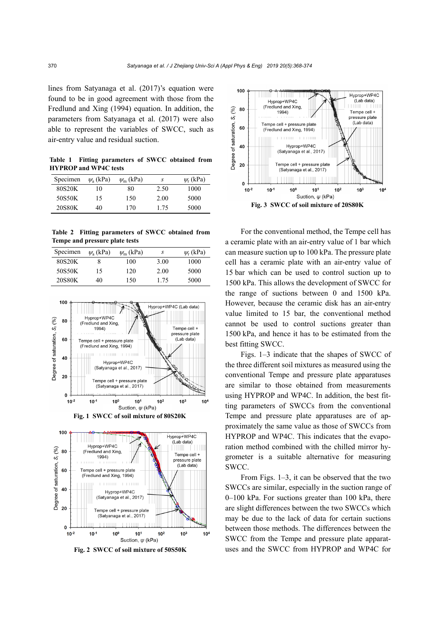lines from Satyanaga et al. (2017)'s equation were found to be in good agreement with those from the Fredlund and Xing (1994) equation. In addition, the parameters from Satyanaga et al. (2017) were also able to represent the variables of SWCC, such as air-entry value and residual suction.

**Table 1 Fitting parameters of SWCC obtained from HYPROP and WP4C tests** 

| Specimen | $\psi$ <sub>a</sub> (kPa) | $\psi_{\rm m}$ (kPa) | S    | $\psi$ <sub>r</sub> (kPa) |
|----------|---------------------------|----------------------|------|---------------------------|
| 80S20K   | 10                        | 80                   | 2.50 | 1000                      |
| 50S50K   | 15                        | 150                  | 2.00 | 5000                      |
| 20S80K   | 40                        | 170                  | 175  | 5000                      |

**Table 2 Fitting parameters of SWCC obtained from Tempe and pressure plate tests** 

| Specimen | $\psi$ <sub>a</sub> (kPa) | $\psi_{\rm m}$ (kPa) | S    | $\psi$ <sub>r</sub> (kPa) |
|----------|---------------------------|----------------------|------|---------------------------|
| 80S20K   |                           | 100                  | 3.00 | 1000                      |
| 50S50K   | 15                        | 120                  | 2.00 | 5000                      |
| 20S80K   | 40                        | 150                  | 1.75 | 5000                      |



**Fig. 1 SWCC of soil mixture of 80S20K** 



**Fig. 2 SWCC of soil mixture of 50S50K**



For the conventional method, the Tempe cell has a ceramic plate with an air-entry value of 1 bar which can measure suction up to 100 kPa. The pressure plate cell has a ceramic plate with an air-entry value of 15 bar which can be used to control suction up to 1500 kPa. This allows the development of SWCC for the range of suctions between 0 and 1500 kPa. However, because the ceramic disk has an air-entry value limited to 15 bar, the conventional method cannot be used to control suctions greater than 1500 kPa, and hence it has to be estimated from the best fitting SWCC.

Figs. 1–3 indicate that the shapes of SWCC of the three different soil mixtures as measured using the conventional Tempe and pressure plate apparatuses are similar to those obtained from measurements using HYPROP and WP4C. In addition, the best fitting parameters of SWCCs from the conventional Tempe and pressure plate apparatuses are of approximately the same value as those of SWCCs from HYPROP and WP4C. This indicates that the evaporation method combined with the chilled mirror hygrometer is a suitable alternative for measuring SWCC.

From Figs. 1–3, it can be observed that the two SWCCs are similar, especially in the suction range of 0–100 kPa. For suctions greater than 100 kPa, there are slight differences between the two SWCCs which may be due to the lack of data for certain suctions between those methods. The differences between the SWCC from the Tempe and pressure plate apparatuses and the SWCC from HYPROP and WP4C for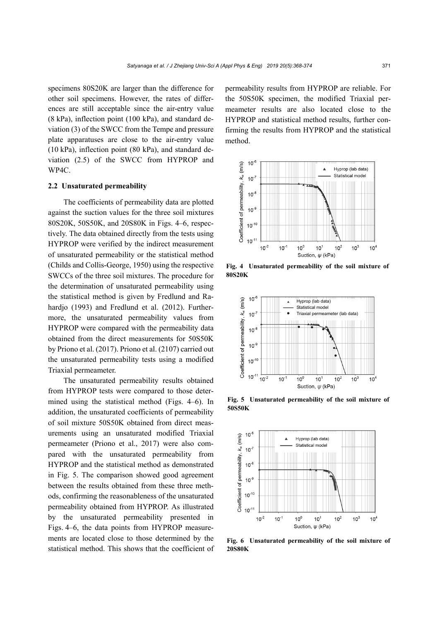specimens 80S20K are larger than the difference for other soil specimens. However, the rates of differences are still acceptable since the air-entry value (8 kPa), inflection point (100 kPa), and standard deviation (3) of the SWCC from the Tempe and pressure plate apparatuses are close to the air-entry value (10 kPa), inflection point (80 kPa), and standard deviation (2.5) of the SWCC from HYPROP and WP4C.

### **2.2 Unsaturated permeability**

The coefficients of permeability data are plotted against the suction values for the three soil mixtures 80S20K, 50S50K, and 20S80K in Figs. 4–6, respectively. The data obtained directly from the tests using HYPROP were verified by the indirect measurement of unsaturated permeability or the statistical method (Childs and Collis-George, 1950) using the respective SWCCs of the three soil mixtures. The procedure for the determination of unsaturated permeability using the statistical method is given by Fredlund and Rahardjo (1993) and Fredlund et al. (2012). Furthermore, the unsaturated permeability values from HYPROP were compared with the permeability data obtained from the direct measurements for 50S50K by Priono et al. (2017). Priono et al. (2107) carried out the unsaturated permeability tests using a modified Triaxial permeameter.

The unsaturated permeability results obtained from HYPROP tests were compared to those determined using the statistical method (Figs. 4–6). In addition, the unsaturated coefficients of permeability of soil mixture 50S50K obtained from direct measurements using an unsaturated modified Triaxial permeameter (Priono et al., 2017) were also compared with the unsaturated permeability from HYPROP and the statistical method as demonstrated in Fig. 5. The comparison showed good agreement between the results obtained from these three methods, confirming the reasonableness of the unsaturated permeability obtained from HYPROP. As illustrated by the unsaturated permeability presented in Figs. 4–6, the data points from HYPROP measurements are located close to those determined by the statistical method. This shows that the coefficient of permeability results from HYPROP are reliable. For the 50S50K specimen, the modified Triaxial permeameter results are also located close to the HYPROP and statistical method results, further confirming the results from HYPROP and the statistical method.



**Fig. 4 Unsaturated permeability of the soil mixture of 80S20K** 



**Fig. 5 Unsaturated permeability of the soil mixture of 50S50K** 



**Fig. 6 Unsaturated permeability of the soil mixture of 20S80K**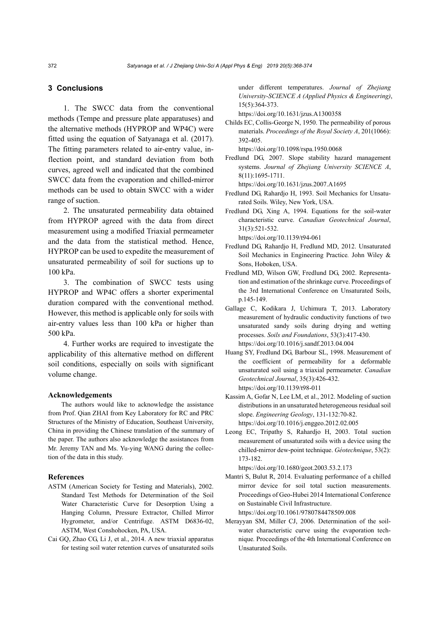## **3 Conclusions**

1. The SWCC data from the conventional methods (Tempe and pressure plate apparatuses) and the alternative methods (HYPROP and WP4C) were fitted using the equation of Satyanaga et al. (2017). The fitting parameters related to air-entry value, inflection point, and standard deviation from both curves, agreed well and indicated that the combined SWCC data from the evaporation and chilled-mirror methods can be used to obtain SWCC with a wider range of suction.

2. The unsaturated permeability data obtained from HYPROP agreed with the data from direct measurement using a modified Triaxial permeameter and the data from the statistical method. Hence, HYPROP can be used to expedite the measurement of unsaturated permeability of soil for suctions up to 100 kPa.

3. The combination of SWCC tests using HYPROP and WP4C offers a shorter experimental duration compared with the conventional method. However, this method is applicable only for soils with air-entry values less than 100 kPa or higher than 500 kPa.

4. Further works are required to investigate the applicability of this alternative method on different soil conditions, especially on soils with significant volume change.

#### **Acknowledgements**

The authors would like to acknowledge the assistance from Prof. Qian ZHAI from Key Laboratory for RC and PRC Structures of the Ministry of Education, Southeast University, China in providing the Chinese translation of the summary of the paper. The authors also acknowledge the assistances from Mr. Jeremy TAN and Ms. Yu-ying WANG during the collection of the data in this study.

#### **References**

- ASTM (American Society for Testing and Materials), 2002. Standard Test Methods for Determination of the Soil Water Characteristic Curve for Desorption Using a Hanging Column, Pressure Extractor, Chilled Mirror Hygrometer, and/or Centrifuge. ASTM D6836-02, ASTM, West Conshohocken, PA, USA.
- Cai GQ, Zhao CG, Li J, et al., 2014. A new triaxial apparatus for testing soil water retention curves of unsaturated soils

under different temperatures. *Journal of Zhejiang University-SCIENCE A (Applied Physics & Engineering)*, 15(5):364-373.

https://doi.org/10.1631/jzus.A1300358

Childs EC, Collis-George N, 1950. The permeability of porous materials. *Proceedings of the Royal Society A*, 201(1066): 392-405.

https://doi.org/10.1098/rspa.1950.0068

Fredlund DG, 2007. Slope stability hazard management systems. *Journal of Zhejiang University SCIENCE A*, 8(11):1695-1711.

https://doi.org/10.1631/jzus.2007.A1695

Fredlund DG, Rahardjo H, 1993. Soil Mechanics for Unsaturated Soils. Wiley, New York, USA.

Fredlund DG, Xing A, 1994. Equations for the soil-water characteristic curve. *Canadian Geotechnical Journal*, 31(3):521-532. https://doi.org/10.1139/t94-061

Fredlund DG, Rahardjo H, Fredlund MD, 2012. Unsaturated Soil Mechanics in Engineering Practice*.* John Wiley & Sons, Hoboken, USA.

- Fredlund MD, Wilson GW, Fredlund DG, 2002. Representation and estimation of the shrinkage curve. Proceedings of the 3rd International Conference on Unsaturated Soils, p.145-149.
- Gallage C, Kodikara J, Uchimura T, 2013. Laboratory measurement of hydraulic conductivity functions of two unsaturated sandy soils during drying and wetting processes. *Soils and Foundations*, 53(3):417-430. https://doi.org/10.1016/j.sandf.2013.04.004
- Huang SY, Fredlund DG, Barbour SL, 1998. Measurement of the coefficient of permeability for a deformable unsaturated soil using a triaxial permeameter. *Canadian Geotechnical Journal*, 35(3):426-432. https://doi.org/10.1139/t98-011
- Kassim A, Gofar N, Lee LM, et al., 2012. Modeling of suction distributions in an unsaturated heterogeneous residual soil slope. *Engineering Geology*, 131-132:70-82. https://doi.org/10.1016/j.enggeo.2012.02.005
- Leong EC, Tripathy S, Rahardjo H, 2003. Total suction measurement of unsaturated soils with a device using the chilled-mirror dew-point technique. *Géotechnique*, 53(2): 173-182.

https://doi.org/10.1680/geot.2003.53.2.173

- Mantri S, Bulut R, 2014. Evaluating performance of a chilled mirror device for soil total suction measurements. Proceedings of Geo-Hubei 2014 International Conference on Sustainable Civil Infrastructure. https://doi.org/10.1061/9780784478509.008
- Merayyan SM, Miller CJ, 2006. Determination of the soilwater characteristic curve using the evaporation technique*.* Proceedings of the 4th International Conference on Unsaturated Soils.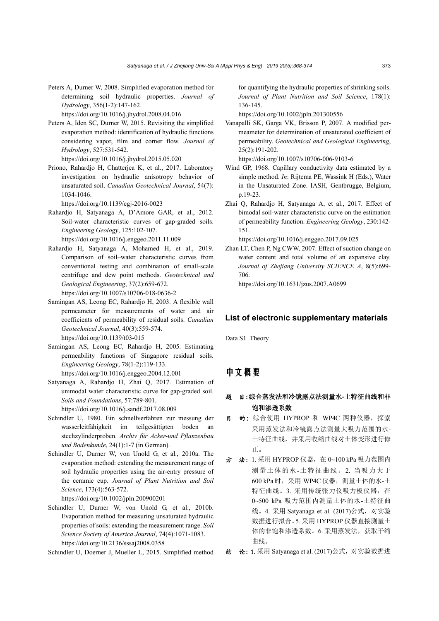Peters A, Durner W, 2008. Simplified evaporation method for determining soil hydraulic properties. *Journal of Hydrology*, 356(1-2):147-162.

https://doi.org/10.1016/j.jhydrol.2008.04.016

Peters A, Iden SC, Durner W, 2015. Revisiting the simplified evaporation method: identification of hydraulic functions considering vapor, film and corner flow. *Journal of Hydrology*, 527:531-542.

https://doi.org/10.1016/j.jhydrol.2015.05.020

Priono, Rahardjo H, Chatterjea K, et al., 2017. Laboratory investigation on hydraulic anisotropy behavior of unsaturated soil. *Canadian Geotechnical Journal*, 54(7): 1034-1046.

https://doi.org/10.1139/cgj-2016-0023

- Rahardjo H, Satyanaga A, D'Amore GAR, et al., 2012. Soil-water characteristic curves of gap-graded soils. *Engineering Geology*, 125:102-107. https://doi.org/10.1016/j.enggeo.2011.11.009
- Rahardjo H, Satyanaga A, Mohamed H, et al., 2019. Comparison of soil–water characteristic curves from conventional testing and combination of small-scale centrifuge and dew point methods. *Geotechnical and Geological Engineering*, 37(2):659-672. https://doi.org/10.1007/s10706-018-0636-2
- Samingan AS, Leong EC, Rahardjo H, 2003. A flexible wall permeameter for measurements of water and air coefficients of permeability of residual soils. *Canadian Geotechnical Journal*, 40(3):559-574. https://doi.org/10.1139/t03-015
- Samingan AS, Leong EC, Rahardjo H, 2005. Estimating permeability functions of Singapore residual soils. *Engineering Geology*, 78(1-2):119-133. https://doi.org/10.1016/j.enggeo.2004.12.001
- Satyanaga A, Rahardjo H, Zhai Q, 2017. Estimation of unimodal water characteristic curve for gap-graded soil. *Soils and Foundations*, 57:789-801. https://doi.org/10.1016/j.sandf.2017.08.009
- Schindler U, 1980. Ein schnellverfahren zur messung der wasserleitfähigkeit im teilgesättigten boden an stechzylinderproben. *Archiv für Acker-und Pflanzenbau und Bodenkunde*, 24(1):1-7 (in German).
- Schindler U, Durner W, von Unold G, et al., 2010a. The evaporation method: extending the measurement range of soil hydraulic properties using the air-entry pressure of the ceramic cup. *Journal of Plant Nutrition and Soil Science*, 173(4):563-572.

https://doi.org/10.1002/jpln.200900201

Schindler U, Durner W, von Unold G, et al., 2010b. Evaporation method for measuring unsaturated hydraulic properties of soils: extending the measurement range. *Soil Science Society of America Journal*, 74(4):1071-1083. https://doi.org/10.2136/sssaj2008.0358

Schindler U, Doerner J, Mueller L, 2015. Simplified method

for quantifying the hydraulic properties of shrinking soils. *Journal of Plant Nutrition and Soil Science*, 178(1): 136-145.

https://doi.org/10.1002/jpln.201300556

Vanapalli SK, Garga VK, Brisson P, 2007. A modified permeameter for determination of unsaturated coefficient of permeability. *Geotechnical and Geological Engineering*, 25(2):191-202.

https://doi.org/10.1007/s10706-006-9103-6

- Wind GP, 1968. Capillary conductivity data estimated by a simple method. *In*: Rijtema PE, Wassink H (Eds.), Water in the Unsaturated Zone. IASH, Gentbrugge, Belgium, p.19-23.
- Zhai Q, Rahardjo H, Satyanaga A, et al., 2017. Effect of bimodal soil-water characteristic curve on the estimation of permeability function. *Engineering Geology*, 230:142- 151.

https://doi.org/10.1016/j.enggeo.2017.09.025

Zhan LT, Chen P, Ng CWW, 2007. Effect of suction change on water content and total volume of an expansive clay. *Journal of Zhejiang University SCIENCE A*, 8(5):699- 706.

https://doi.org/10.1631/jzus.2007.A0699

## **List of electronic supplementary materials**

Data S1 Theory

## 中文概要

## 题 目:综合蒸发法和冷镜露点法测量水**-**土特征曲线和非 饱和渗透系数

- 的: 综合使用 HYPROP 和 WP4C 两种仪器, 探索 采用蒸发法和冷镜露点法测量大吸力范围的水-土特征曲线,并采用收缩曲线对土体变形进行修 正。
- 方 法: 1. 采用 HYPROP 仪器, 在 0~100 kPa 吸力范围内 测量土体的水-土特征曲线。2. 当吸力大于 600 kPa 时,采用 WP4C 仪器,测量土体的水-土 特征曲线。3. 采用传统张力仪吸力板仪器, 在 0~500 kPa 吸力范围内测量土体的水-土特征曲 线。4. 采用 Satyanaga et al. (2017)公式, 对实验 数据进行拟合。5. 采用 HYPROP 仪器直接测量土 体的非饱和渗透系数。6. 采用蒸发法, 获取干缩 曲线。
- 结 论:1. 采用 Satyanaga et al. (2017)公式,对实验数据进